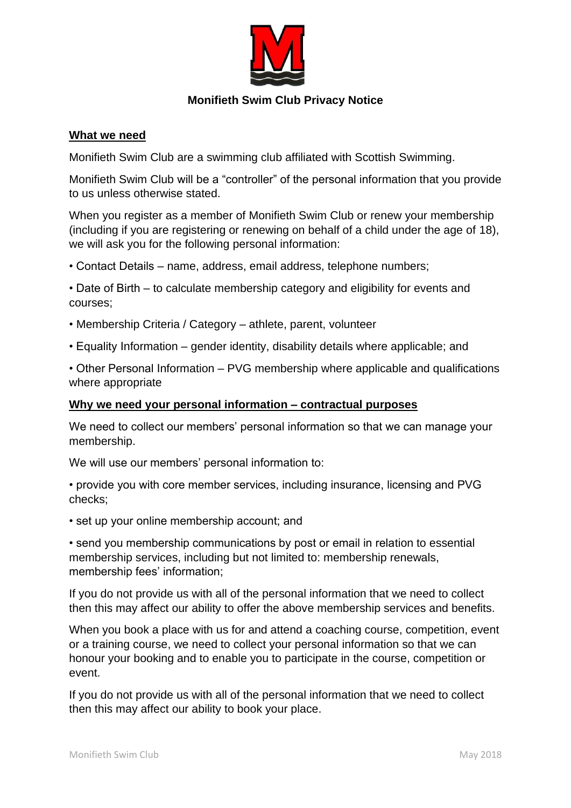

## **Monifieth Swim Club Privacy Notice**

### **What we need**

Monifieth Swim Club are a swimming club affiliated with Scottish Swimming.

Monifieth Swim Club will be a "controller" of the personal information that you provide to us unless otherwise stated.

When you register as a member of Monifieth Swim Club or renew your membership (including if you are registering or renewing on behalf of a child under the age of 18), we will ask you for the following personal information:

• Contact Details – name, address, email address, telephone numbers;

• Date of Birth – to calculate membership category and eligibility for events and courses;

- Membership Criteria / Category athlete, parent, volunteer
- Equality Information gender identity, disability details where applicable; and

• Other Personal Information – PVG membership where applicable and qualifications where appropriate

#### **Why we need your personal information – contractual purposes**

We need to collect our members' personal information so that we can manage your membership.

We will use our members' personal information to:

• provide you with core member services, including insurance, licensing and PVG checks;

• set up your online membership account; and

• send you membership communications by post or email in relation to essential membership services, including but not limited to: membership renewals, membership fees' information;

If you do not provide us with all of the personal information that we need to collect then this may affect our ability to offer the above membership services and benefits.

When you book a place with us for and attend a coaching course, competition, event or a training course, we need to collect your personal information so that we can honour your booking and to enable you to participate in the course, competition or event.

If you do not provide us with all of the personal information that we need to collect then this may affect our ability to book your place.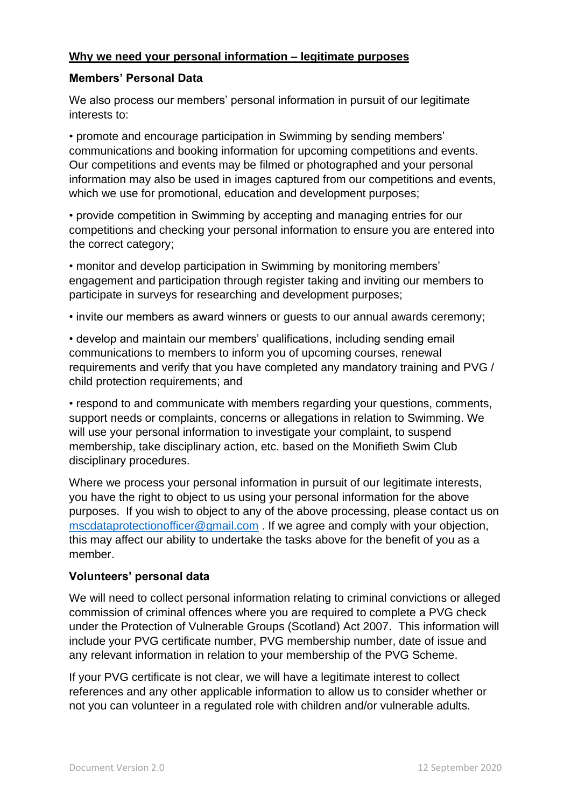## **Why we need your personal information – legitimate purposes**

## **Members' Personal Data**

We also process our members' personal information in pursuit of our legitimate interests to:

• promote and encourage participation in Swimming by sending members' communications and booking information for upcoming competitions and events. Our competitions and events may be filmed or photographed and your personal information may also be used in images captured from our competitions and events, which we use for promotional, education and development purposes;

• provide competition in Swimming by accepting and managing entries for our competitions and checking your personal information to ensure you are entered into the correct category;

• monitor and develop participation in Swimming by monitoring members' engagement and participation through register taking and inviting our members to participate in surveys for researching and development purposes;

• invite our members as award winners or guests to our annual awards ceremony;

• develop and maintain our members' qualifications, including sending email communications to members to inform you of upcoming courses, renewal requirements and verify that you have completed any mandatory training and PVG / child protection requirements; and

• respond to and communicate with members regarding your questions, comments, support needs or complaints, concerns or allegations in relation to Swimming. We will use your personal information to investigate your complaint, to suspend membership, take disciplinary action, etc. based on the Monifieth Swim Club disciplinary procedures.

Where we process your personal information in pursuit of our legitimate interests, you have the right to object to us using your personal information for the above purposes. If you wish to object to any of the above processing, please contact us on [mscdataprotectionofficer@gmail.com](mailto:mscdataprotectionofficer@gmail.com) . If we agree and comply with your objection, this may affect our ability to undertake the tasks above for the benefit of you as a member.

# **Volunteers' personal data**

We will need to collect personal information relating to criminal convictions or alleged commission of criminal offences where you are required to complete a PVG check under the Protection of Vulnerable Groups (Scotland) Act 2007. This information will include your PVG certificate number, PVG membership number, date of issue and any relevant information in relation to your membership of the PVG Scheme.

If your PVG certificate is not clear, we will have a legitimate interest to collect references and any other applicable information to allow us to consider whether or not you can volunteer in a regulated role with children and/or vulnerable adults.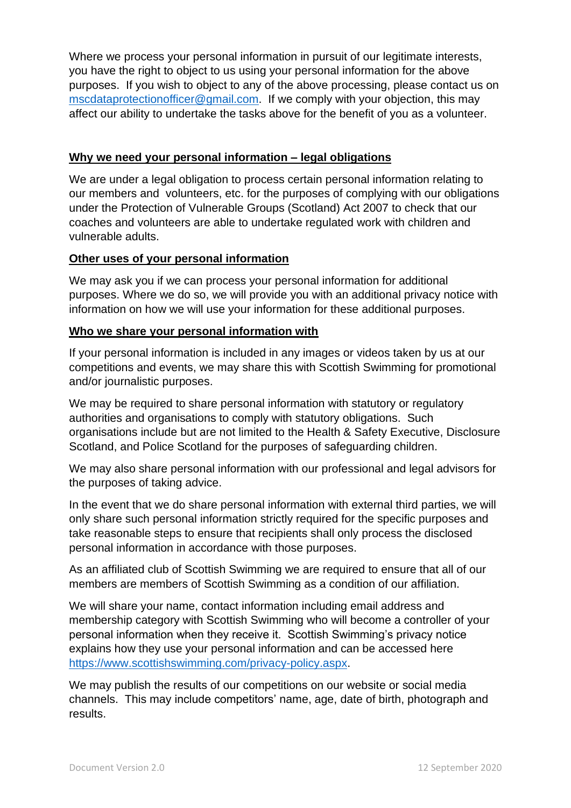Where we process your personal information in pursuit of our legitimate interests, you have the right to object to us using your personal information for the above purposes. If you wish to object to any of the above processing, please contact us on [mscdataprotectionofficer@gmail.com.](mailto:mscdataprotectionofficer@gmail.com) If we comply with your objection, this may affect our ability to undertake the tasks above for the benefit of you as a volunteer.

### **Why we need your personal information – legal obligations**

We are under a legal obligation to process certain personal information relating to our members and volunteers, etc. for the purposes of complying with our obligations under the Protection of Vulnerable Groups (Scotland) Act 2007 to check that our coaches and volunteers are able to undertake regulated work with children and vulnerable adults.

## **Other uses of your personal information**

We may ask you if we can process your personal information for additional purposes. Where we do so, we will provide you with an additional privacy notice with information on how we will use your information for these additional purposes.

#### **Who we share your personal information with**

If your personal information is included in any images or videos taken by us at our competitions and events, we may share this with Scottish Swimming for promotional and/or journalistic purposes.

We may be required to share personal information with statutory or regulatory authorities and organisations to comply with statutory obligations. Such organisations include but are not limited to the Health & Safety Executive, Disclosure Scotland, and Police Scotland for the purposes of safeguarding children.

We may also share personal information with our professional and legal advisors for the purposes of taking advice.

In the event that we do share personal information with external third parties, we will only share such personal information strictly required for the specific purposes and take reasonable steps to ensure that recipients shall only process the disclosed personal information in accordance with those purposes.

As an affiliated club of Scottish Swimming we are required to ensure that all of our members are members of Scottish Swimming as a condition of our affiliation.

We will share your name, contact information including email address and membership category with Scottish Swimming who will become a controller of your personal information when they receive it. Scottish Swimming's privacy notice explains how they use your personal information and can be accessed here [https://www.scottishswimming.com/privacy-policy.aspx.](https://www.scottishswimming.com/privacy-policy.aspx)

We may publish the results of our competitions on our website or social media channels. This may include competitors' name, age, date of birth, photograph and results.